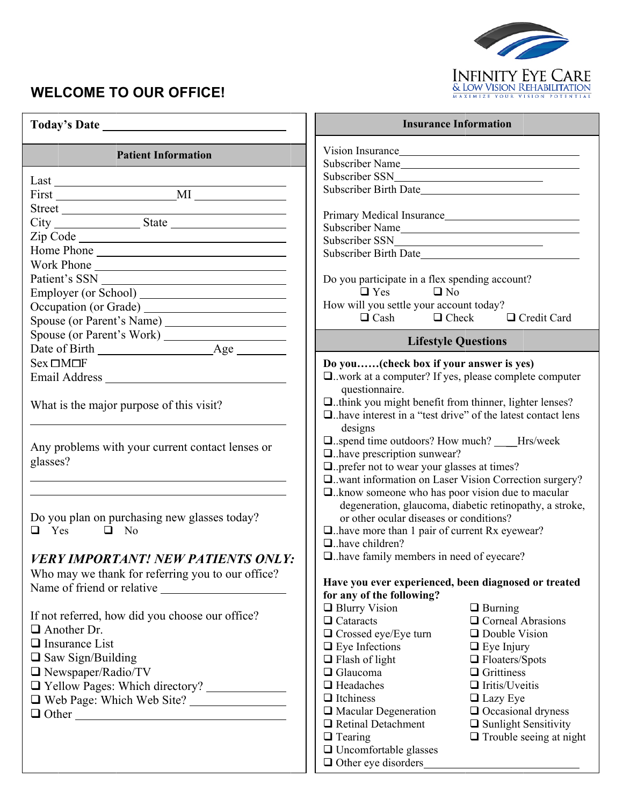

## **WELCOME TO OUR OFFICE!**

|                                                                                       |                                                                         | <b>Insurance Information</b>                            |
|---------------------------------------------------------------------------------------|-------------------------------------------------------------------------|---------------------------------------------------------|
| <b>Patient Information</b>                                                            | Vision Insurance                                                        |                                                         |
|                                                                                       | Subscriber Name                                                         |                                                         |
|                                                                                       |                                                                         |                                                         |
|                                                                                       |                                                                         |                                                         |
|                                                                                       |                                                                         |                                                         |
|                                                                                       | Subscriber Name                                                         |                                                         |
|                                                                                       |                                                                         |                                                         |
| Home Phone                                                                            | Subscriber Birth Date                                                   |                                                         |
| Work Phone                                                                            |                                                                         |                                                         |
|                                                                                       | Do you participate in a flex spending account?                          |                                                         |
|                                                                                       | $\Box$ Yes<br>$\Box$ No                                                 |                                                         |
|                                                                                       | How will you settle your account today?                                 |                                                         |
|                                                                                       | $\Box$ Cash                                                             | $\Box$ Check<br>$\Box$ Credit Card                      |
|                                                                                       |                                                                         |                                                         |
|                                                                                       |                                                                         | <b>Lifestyle Questions</b>                              |
| $Sex \Box M \Box F$                                                                   | Do you(check box if your answer is yes)                                 |                                                         |
|                                                                                       | □work at a computer? If yes, please complete computer                   |                                                         |
|                                                                                       | questionnaire.                                                          |                                                         |
| What is the major purpose of this visit?                                              | $\Box$ think you might benefit from thinner, lighter lenses?            |                                                         |
|                                                                                       | $\Box$ have interest in a "test drive" of the latest contact lens       |                                                         |
|                                                                                       | designs                                                                 |                                                         |
|                                                                                       | □spend time outdoors? How much? ____Hrs/week                            |                                                         |
| Any problems with your current contact lenses or<br>$\Box$ have prescription sunwear? |                                                                         |                                                         |
| glasses?                                                                              | $\Box$ prefer not to wear your glasses at times?                        |                                                         |
|                                                                                       | Q. want information on Laser Vision Correction surgery?                 |                                                         |
|                                                                                       | $\Box$ know someone who has poor vision due to macular                  |                                                         |
|                                                                                       |                                                                         | degeneration, glaucoma, diabetic retinopathy, a stroke, |
| Do you plan on purchasing new glasses today?                                          | or other ocular diseases or conditions?                                 |                                                         |
| $\Box$ Yes $\Box$ No                                                                  | $\Box$ have more than 1 pair of current Rx eyewear?                     |                                                         |
|                                                                                       | $\Box$ have children?<br>$\Box$ have family members in need of eyecare? |                                                         |
| <b>VERY IMPORTANT! NEW PATIENTS ONLY:</b>                                             |                                                                         |                                                         |
| Who may we thank for referring you to our office?                                     | Have you ever experienced, been diagnosed or treated                    |                                                         |
|                                                                                       | for any of the following?                                               |                                                         |
|                                                                                       | $\Box$ Blurry Vision                                                    | $\Box$ Burning                                          |
| If not referred, how did you choose our office?                                       | $\Box$ Cataracts                                                        | $\Box$ Corneal Abrasions                                |
| $\Box$ Another Dr.                                                                    | $\Box$ Crossed eye/Eye turn                                             | $\Box$ Double Vision                                    |
| $\Box$ Insurance List                                                                 | $\Box$ Eye Infections                                                   | $\Box$ Eye Injury                                       |
| $\Box$ Saw Sign/Building                                                              | $\Box$ Flash of light                                                   | $\Box$ Floaters/Spots                                   |
| $\Box$ Newspaper/Radio/TV                                                             | $\Box$ Glaucoma                                                         | $\Box$ Grittiness                                       |
| T Yellow Pages: Which directory?                                                      | $\Box$ Headaches                                                        | $\Box$ Iritis/Uveitis                                   |
| Web Page: Which Web Site?                                                             | $\Box$ Itchiness                                                        | $\Box$ Lazy Eye                                         |
|                                                                                       | $\Box$ Macular Degeneration                                             | $\Box$ Occasional dryness                               |
|                                                                                       | $\Box$ Retinal Detachment                                               | $\Box$ Sunlight Sensitivity                             |
|                                                                                       | $\Box$ Tearing                                                          | $\Box$ Trouble seeing at night                          |
|                                                                                       | $\Box$ Uncomfortable glasses                                            |                                                         |
|                                                                                       | $\Box$ Other eye disorders                                              |                                                         |